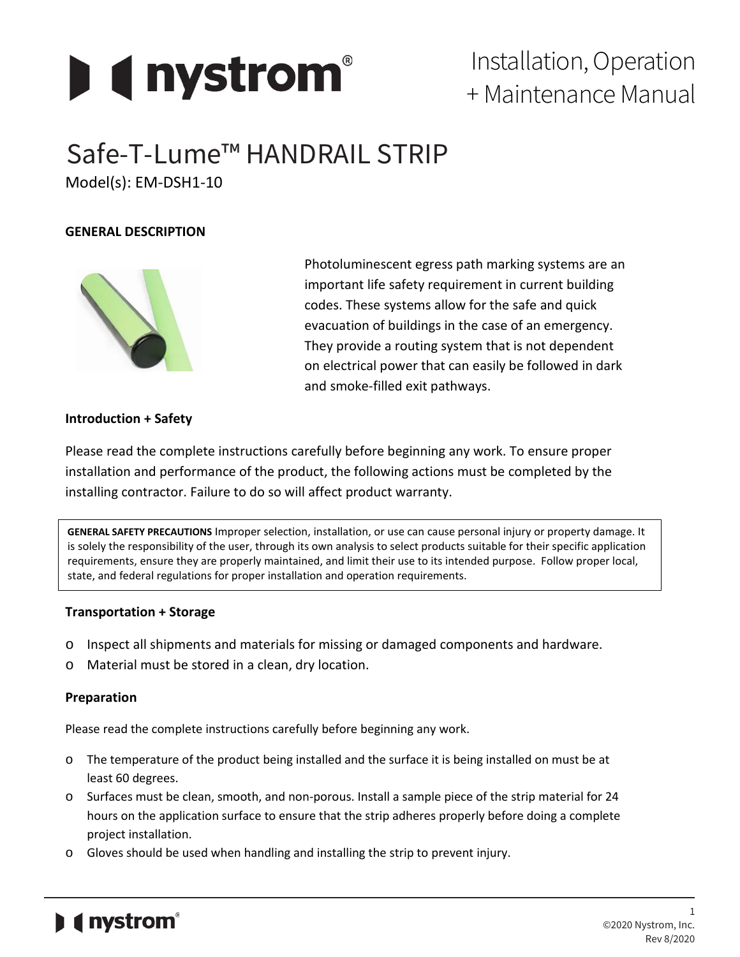

# Installation, Operation + Maintenance Manual

# Safe-T-Lume™ HANDRAIL STRIP

Model(s): EM-DSH1-10

## **GENERAL DESCRIPTION**



Photoluminescent egress path marking systems are an important life safety requirement in current building codes. These systems allow for the safe and quick evacuation of buildings in the case of an emergency. They provide a routing system that is not dependent on electrical power that can easily be followed in dark and smoke-filled exit pathways.

### **Introduction + Safety**

Please read the complete instructions carefully before beginning any work. To ensure proper installation and performance of the product, the following actions must be completed by the installing contractor. Failure to do so will affect product warranty.

**GENERAL SAFETY PRECAUTIONS** Improper selection, installation, or use can cause personal injury or property damage. It is solely the responsibility of the user, through its own analysis to select products suitable for their specific application requirements, ensure they are properly maintained, and limit their use to its intended purpose. Follow proper local, state, and federal regulations for proper installation and operation requirements.

### **Transportation + Storage**

- o Inspect all shipments and materials for missing or damaged components and hardware.
- o Material must be stored in a clean, dry location.

### **Preparation**

Please read the complete instructions carefully before beginning any work.

- o The temperature of the product being installed and the surface it is being installed on must be at least 60 degrees.
- o Surfaces must be clean, smooth, and non-porous. Install a sample piece of the strip material for 24 hours on the application surface to ensure that the strip adheres properly before doing a complete project installation.
- o Gloves should be used when handling and installing the strip to prevent injury.

## *i* nystrom®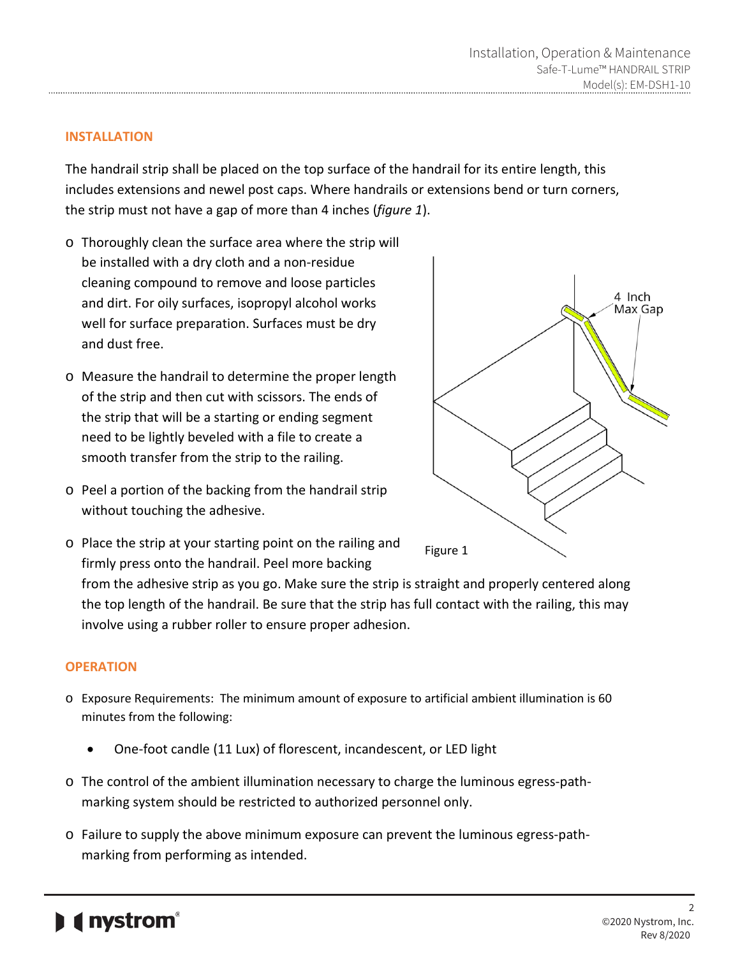### **INSTALLATION**

The handrail strip shall be placed on the top surface of the handrail for its entire length, this includes extensions and newel post caps. Where handrails or extensions bend or turn corners, the strip must not have a gap of more than 4 inches (*figure 1*).

- o Thoroughly clean the surface area where the strip will be installed with a dry cloth and a non-residue cleaning compound to remove and loose particles and dirt. For oily surfaces, isopropyl alcohol works well for surface preparation. Surfaces must be dry and dust free.
- o Measure the handrail to determine the proper length of the strip and then cut with scissors. The ends of the strip that will be a starting or ending segment need to be lightly beveled with a file to create a smooth transfer from the strip to the railing.
- o Peel a portion of the backing from the handrail strip without touching the adhesive.



o Place the strip at your starting point on the railing and firmly press onto the handrail. Peel more backing

from the adhesive strip as you go. Make sure the strip is straight and properly centered along the top length of the handrail. Be sure that the strip has full contact with the railing, this may involve using a rubber roller to ensure proper adhesion.

#### **OPERATION**

- o Exposure Requirements: The minimum amount of exposure to artificial ambient illumination is 60 minutes from the following:
	- One-foot candle (11 Lux) of florescent, incandescent, or LED light
- o The control of the ambient illumination necessary to charge the luminous egress-pathmarking system should be restricted to authorized personnel only.
- o Failure to supply the above minimum exposure can prevent the luminous egress-pathmarking from performing as intended.